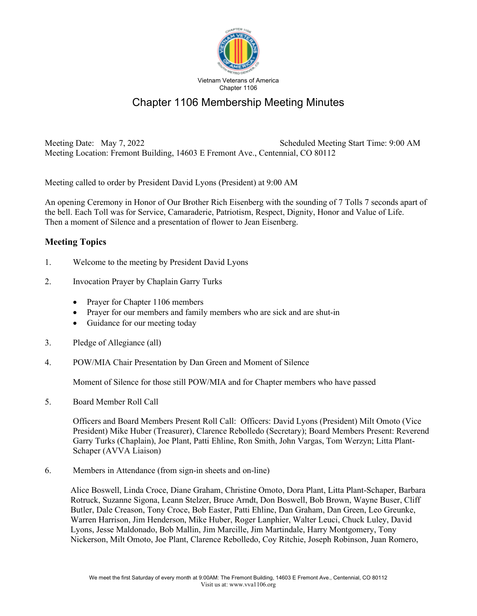

## Chapter 1106 Membership Meeting Minutes

Meeting Date: May 7, 2022 Scheduled Meeting Start Time: 9:00 AM Meeting Location: Fremont Building, 14603 E Fremont Ave., Centennial, CO 80112

Meeting called to order by President David Lyons (President) at 9:00 AM

An opening Ceremony in Honor of Our Brother Rich Eisenberg with the sounding of 7 Tolls 7 seconds apart of the bell. Each Toll was for Service, Camaraderie, Patriotism, Respect, Dignity, Honor and Value of Life. Then a moment of Silence and a presentation of flower to Jean Eisenberg.

## **Meeting Topics**

- 1. Welcome to the meeting by President David Lyons
- 2. Invocation Prayer by Chaplain Garry Turks
	- Prayer for Chapter 1106 members
	- Prayer for our members and family members who are sick and are shut-in
	- Guidance for our meeting today
- 3. Pledge of Allegiance (all)
- 4. POW/MIA Chair Presentation by Dan Green and Moment of Silence

Moment of Silence for those still POW/MIA and for Chapter members who have passed

5. Board Member Roll Call

Officers and Board Members Present Roll Call: Officers: David Lyons (President) Milt Omoto (Vice President) Mike Huber (Treasurer), Clarence Rebolledo (Secretary); Board Members Present: Reverend Garry Turks (Chaplain), Joe Plant, Patti Ehline, Ron Smith, John Vargas, Tom Werzyn; Litta Plant-Schaper (AVVA Liaison)

6. Members in Attendance (from sign-in sheets and on-line)

Alice Boswell, Linda Croce, Diane Graham, Christine Omoto, Dora Plant, Litta Plant-Schaper, Barbara Rotruck, Suzanne Sigona, Leann Stelzer, Bruce Arndt, Don Boswell, Bob Brown, Wayne Buser, Cliff Butler, Dale Creason, Tony Croce, Bob Easter, Patti Ehline, Dan Graham, Dan Green, Leo Greunke, Warren Harrison, Jim Henderson, Mike Huber, Roger Lanphier, Walter Leuci, Chuck Luley, David Lyons, Jesse Maldonado, Bob Mallin, Jim Marcille, Jim Martindale, Harry Montgomery, Tony Nickerson, Milt Omoto, Joe Plant, Clarence Rebolledo, Coy Ritchie, Joseph Robinson, Juan Romero,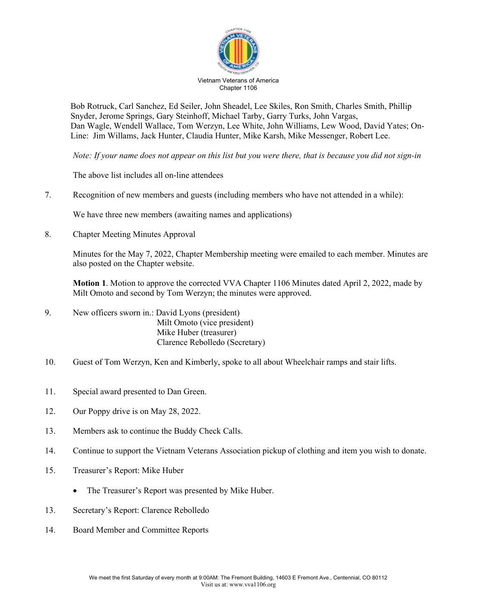

Bob Rotruck, Carl Sanchez, Ed Seiler, John Sheadel, Lee Skiles, Ron Smith, Charles Smith, Phillip Snyder, Jerome Springs, Gary Steinhoff, Michael Tarby, Garry Turks, John Vargas, Dan Wagle, Wendell Wallace, Tom Werzyn, Lee White, John Williams, Lew Wood, David Yates; On-Line: Jim Willams, Jack Hunter, Claudia Hunter, Mike Karsh, Mike Messenger, Robert Lee.

*Note: If your name does not appear on this list but you were there, that is because you did not sign-in* 

The above list includes all on-line attendees

7. Recognition of new members and guests (including members who have not attended in a while):

We have three new members (awaiting names and applications)

8. Chapter Meeting Minutes Approval

Minutes for the May 7, 2022, Chapter Membership meeting were emailed to each member. Minutes are also posted on the Chapter website.

**Motion 1**. Motion to approve the corrected VVA Chapter 1106 Minutes dated April 2, 2022, made by Milt Omoto and second by Tom Werzyn; the minutes were approved.

- 9. New officers sworn in.: David Lyons (president) Milt Omoto (vice president) Mike Huber (treasurer) Clarence Rebolledo (Secretary)
- 10. Guest of Tom Werzyn, Ken and Kimberly, spoke to all about Wheelchair ramps and stair lifts.
- 11. Special award presented to Dan Green.
- 12. Our Poppy drive is on May 28, 2022.
- 13. Members ask to continue the Buddy Check Calls.
- 14. Continue to support the Vietnam Veterans Association pickup of clothing and item you wish to donate.
- 15. Treasurer's Report: Mike Huber
	- The Treasurer's Report was presented by Mike Huber.
- 13. Secretary's Report: Clarence Rebolledo
- 14. Board Member and Committee Reports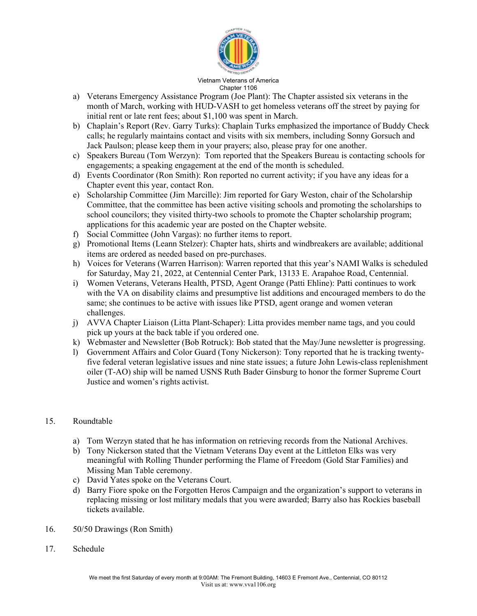

## Vietnam Veterans of America Chapter 1106

- a) Veterans Emergency Assistance Program (Joe Plant): The Chapter assisted six veterans in the month of March, working with HUD-VASH to get homeless veterans off the street by paying for initial rent or late rent fees; about \$1,100 was spent in March.
- b) Chaplain's Report (Rev. Garry Turks): Chaplain Turks emphasized the importance of Buddy Check calls; he regularly maintains contact and visits with six members, including Sonny Gorsuch and Jack Paulson; please keep them in your prayers; also, please pray for one another.
- c) Speakers Bureau (Tom Werzyn): Tom reported that the Speakers Bureau is contacting schools for engagements; a speaking engagement at the end of the month is scheduled.
- d) Events Coordinator (Ron Smith): Ron reported no current activity; if you have any ideas for a Chapter event this year, contact Ron.
- e) Scholarship Committee (Jim Marcille): Jim reported for Gary Weston, chair of the Scholarship Committee, that the committee has been active visiting schools and promoting the scholarships to school councilors; they visited thirty-two schools to promote the Chapter scholarship program; applications for this academic year are posted on the Chapter website.
- f) Social Committee (John Vargas): no further items to report.
- g) Promotional Items (Leann Stelzer): Chapter hats, shirts and windbreakers are available; additional items are ordered as needed based on pre-purchases.
- h) Voices for Veterans (Warren Harrison): Warren reported that this year's NAMI Walks is scheduled for Saturday, May 21, 2022, at Centennial Center Park, 13133 E. Arapahoe Road, Centennial.
- i) Women Veterans, Veterans Health, PTSD, Agent Orange (Patti Ehline): Patti continues to work with the VA on disability claims and presumptive list additions and encouraged members to do the same; she continues to be active with issues like PTSD, agent orange and women veteran challenges.
- j) AVVA Chapter Liaison (Litta Plant-Schaper): Litta provides member name tags, and you could pick up yours at the back table if you ordered one.
- k) Webmaster and Newsletter (Bob Rotruck): Bob stated that the May/June newsletter is progressing.
- l) Government Affairs and Color Guard (Tony Nickerson): Tony reported that he is tracking twentyfive federal veteran legislative issues and nine state issues; a future John Lewis-class replenishment oiler (T-AO) ship will be named USNS Ruth Bader Ginsburg to honor the former Supreme Court Justice and women's rights activist.

## 15. Roundtable

- a) Tom Werzyn stated that he has information on retrieving records from the National Archives.
- b) Tony Nickerson stated that the Vietnam Veterans Day event at the Littleton Elks was very meaningful with Rolling Thunder performing the Flame of Freedom (Gold Star Families) and Missing Man Table ceremony.
- c) David Yates spoke on the Veterans Court.
- d) Barry Fiore spoke on the Forgotten Heros Campaign and the organization's support to veterans in replacing missing or lost military medals that you were awarded; Barry also has Rockies baseball tickets available.
- 16. 50/50 Drawings (Ron Smith)
- 17. Schedule